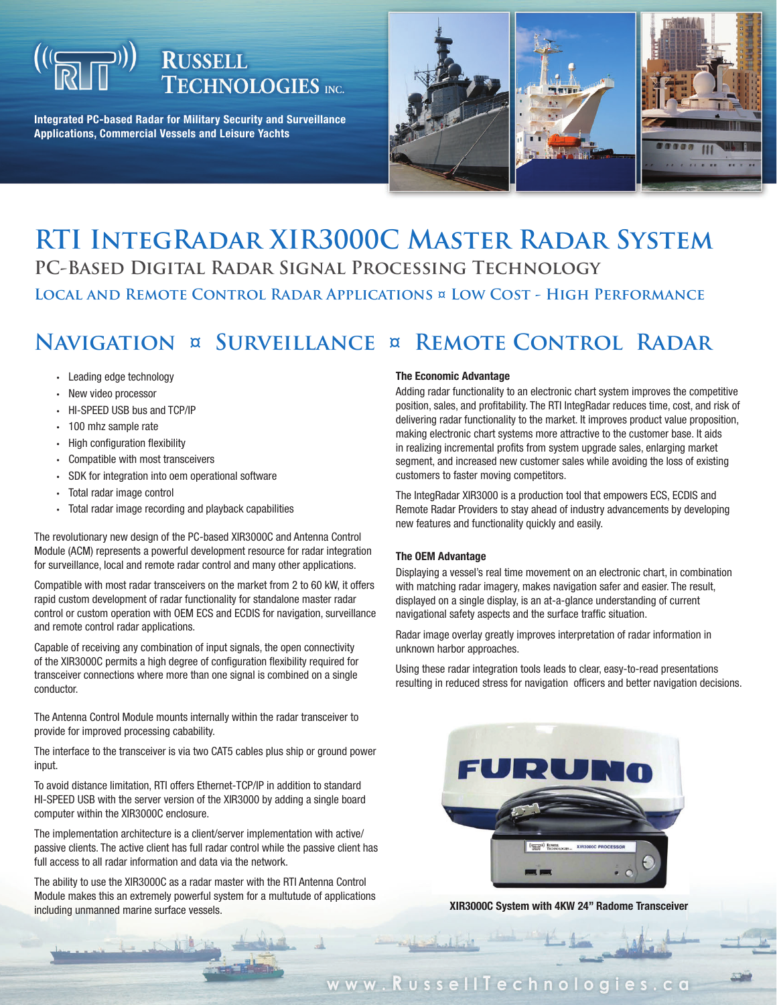# **RUSSELL TECHNOLOGIES** INC.

**Integrated PC-based Radar for Military Security and Surveillance Applications, Commercial Vessels and Leisure Yachts**



### **RTI IntegRadar XIR3000C Master Radar System PC-Based Digital Radar Signal Processing Technology Local and Remote Control Radar Applications ¤ Low Cost - High Performance**

## **Navigation ¤ Surveillance ¤ Remote Control Radar**

- Leading edge technology •
- New video processor
- HI-SPEED USB bus and TCP/IP
- 100 mhz sample rate
- High configuration flexibility
- Compatible with most transceivers
- SDK for integration into oem operational software •
- Total radar image control
- Total radar image recording and playback capabilities •

The revolutionary new design of the PC-based XIR3000C and Antenna Control Module (ACM) represents a powerful development resource for radar integration for surveillance, local and remote radar control and many other applications.

Compatible with most radar transceivers on the market from 2 to 60 kW, it offers rapid custom development of radar functionality for standalone master radar control or custom operation with OEM ECS and ECDIS for navigation, surveillance and remote control radar applications.

Capable of receiving any combination of input signals, the open connectivity of the XIR3000C permits a high degree of configuration flexibility required for transceiver connections where more than one signal is combined on a single conductor.

The Antenna Control Module mounts internally within the radar transceiver to provide for improved processing cabability.

The interface to the transceiver is via two CAT5 cables plus ship or ground power input.

To avoid distance limitation, RTI offers Ethernet-TCP/IP in addition to standard HI-SPEED USB with the server version of the XIR3000 by adding a single board computer within the XIR3000C enclosure.

The implementation architecture is a client/server implementation with active/ passive clients. The active client has full radar control while the passive client has full access to all radar information and data via the network.

The ability to use the XIR3000C as a radar master with the RTI Antenna Control Module makes this an extremely powerful system for a multutude of applications including unmanned marine surface vessels.

#### **The Economic Advantage**

Adding radar functionality to an electronic chart system improves the competitive position, sales, and profitability. The RTI IntegRadar reduces time, cost, and risk of delivering radar functionality to the market. It improves product value proposition, making electronic chart systems more attractive to the customer base. It aids in realizing incremental profits from system upgrade sales, enlarging market segment, and increased new customer sales while avoiding the loss of existing customers to faster moving competitors.

The IntegRadar XIR3000 is a production tool that empowers ECS, ECDIS and Remote Radar Providers to stay ahead of industry advancements by developing new features and functionality quickly and easily.

#### **The OEM Advantage**

Displaying a vessel's real time movement on an electronic chart, in combination with matching radar imagery, makes navigation safer and easier. The result, displayed on a single display, is an at-a-glance understanding of current navigational safety aspects and the surface traffic situation.

Radar image overlay greatly improves interpretation of radar information in unknown harbor approaches.

Using these radar integration tools leads to clear, easy-to-read presentations resulting in reduced stress for navigation officers and better navigation decisions.



**XIR3000C System with 4KW 24" Radome Transceiver**

www.RussellTechnologies.ca